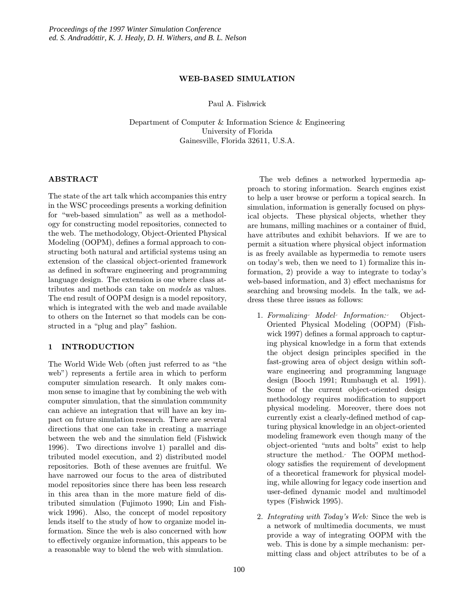#### WEB-BASED SIMULATION

Paul A. Fishwick

Department of Computer & Information Science & Engineering University of Florida Gainesville, Florida 32611, U.S.A.

## ABSTRACT

The state of the art talk which accompanies this entry in the WSC proceedings presents a working definition for "web-based simulation" as well as a methodology for constructing model repositories, connected to the web. The methodology, Object-Oriented Physical Modeling (OOPM), defines a formal approach to constructing both natural and artificial systems using an extension of the classical object-oriented framework as defined in software engineering and programming language design. The extension is one where class attributes and methods can take on models as values. The end result of OOPM design is a model repository, which is integrated with the web and made available to others on the Internet so that models can be constructed in a "plug and play" fashion.

# 1 INTRODUCTION

The World Wide Web (often just referred to as "the web") represents a fertile area in which to perform computer simulation research. It only makes common sense to imagine that by combining the web with computer simulation, that the simulation community can achieve an integration that will have an key impact on future simulation research. There are several directions that one can take in creating a marriage between the web and the simulation field (Fishwick 1996). Two directions involve 1) parallel and distributed model execution, and 2) distributed model repositories. Both of these avenues are fruitful. We have narrowed our focus to the area of distributed model repositories since there has been less research in this area than in the more mature field of distributed simulation (Fujimoto 1990; Lin and Fishwick 1996). Also, the concept of model repository lends itself to the study of how to organize model information. Since the web is also concerned with how to effectively organize information, this appears to be a reasonable way to blend the web with simulation.

The web defines a networked hypermedia approach to storing information. Search engines exist to help a user browse or perform a topical search. In simulation, information is generally focused on physical objects. These physical objects, whether they are humans, milling machines or a container of fluid, have attributes and exhibit behaviors. If we are to permit a situation where physical object information is as freely available as hypermedia to remote users on today's web, then we need to 1) formalize this information, 2) provide a way to integrate to today's web-based information, and 3) effect mechanisms for searching and browsing models. In the talk, we address these three issues as follows:

- 1. Formalizing Model Information: Object-Oriented Physical Modeling (OOPM) (Fishwick 1997) defines a formal approach to capturing physical knowledge in a form that extends the object design principles specified in the fast-growing area of object design within software engineering and programming language design (Booch 1991; Rumbaugh et al. 1991). Some of the current object-oriented design methodology requires modification to support physical modeling. Moreover, there does not currently exist a clearly-defined method of capturing physical knowledge in an object-oriented modeling framework even though many of the object-oriented "nuts and bolts" exist to help structure the method. The OOPM methodology satisfies the requirement of development of a theoretical framework for physical modeling, while allowing for legacy code insertion and user-defined dynamic model and multimodel types (Fishwick 1995).
- 2. Integrating with Today's Web: Since the web is a network of multimedia documents, we must provide a way of integrating OOPM with the web. This is done by a simple mechanism: permitting class and object attributes to be of a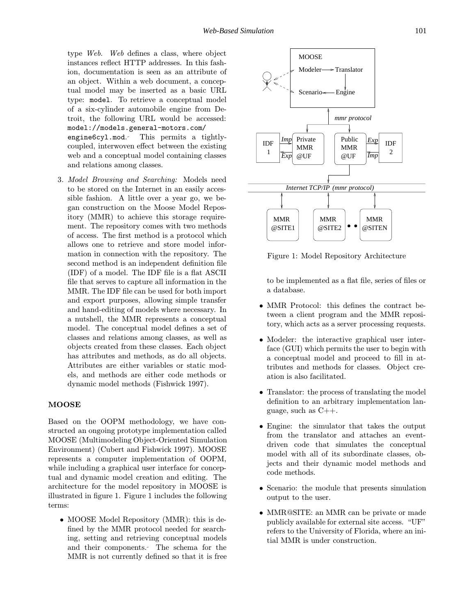type Web. Web defines a class, where object instances reflect HTTP addresses. In this fashion, documentation is seen as an attribute of an object. Within a web document, a conceptual model may be inserted as a basic URL type: model. To retrieve a conceptual model of a six-cylinder automobile engine from Detroit, the following URL would be accessed: model://models.general-motors.com/ engine6cyl.mod. This permits a tightlycoupled, interwoven effect between the existing web and a conceptual model containing classes and relations among classes.

3. Model Browsing and Searching: Models need to be stored on the Internet in an easily accessible fashion. A little over a year go, we began construction on the Moose Model Repository (MMR) to achieve this storage requirement. The repository comes with two methods of access. The first method is a protocol which allows one to retrieve and store model information in connection with the repository. The second method is an independent definition file (IDF) of a model. The IDF file is a flat ASCII file that serves to capture all information in the MMR. The IDF file can be used for both import and export purposes, allowing simple transfer and hand-editing of models where necessary. In a nutshell, the MMR represents a conceptual model. The conceptual model defines a set of classes and relations among classes, as well as objects created from these classes. Each object has attributes and methods, as do all objects. Attributes are either variables or static models, and methods are either code methods or dynamic model methods (Fishwick 1997).

#### **MOOSE**

Based on the OOPM methodology, we have constructed an ongoing prototype implementation called MOOSE (Multimodeling Object-Oriented Simulation Environment) (Cubert and Fishwick 1997). MOOSE represents a computer implementation of OOPM, while including a graphical user interface for conceptual and dynamic model creation and editing. The architecture for the model repository in MOOSE is illustrated in figure 1. Figure 1 includes the following terms:

• MOOSE Model Repository (MMR): this is defined by the MMR protocol needed for searching, setting and retrieving conceptual models and their components. The schema for the MMR is not currently defined so that it is free



Figure 1: Model Repository Architecture

to be implemented as a flat file, series of files or a database.

- MMR Protocol: this defines the contract between a client program and the MMR repository, which acts as a server processing requests.
- Modeler: the interactive graphical user interface (GUI) which permits the user to begin with a conceptual model and proceed to fill in attributes and methods for classes. Object creation is also facilitated.
- Translator: the process of translating the model definition to an arbitrary implementation language, such as  $C_{++}$ .
- Engine: the simulator that takes the output from the translator and attaches an eventdriven code that simulates the conceptual model with all of its subordinate classes, objects and their dynamic model methods and code methods.
- Scenario: the module that presents simulation output to the user.
- MMR@SITE: an MMR can be private or made publicly available for external site access. "UF" refers to the University of Florida, where an initial MMR is under construction.